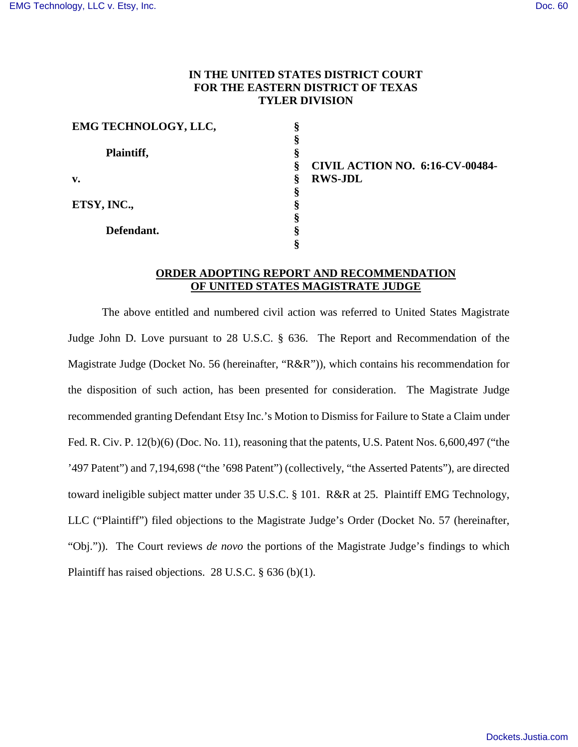# **IN THE UNITED STATES DISTRICT COURT FOR THE EASTERN DISTRICT OF TEXAS TYLER DIVISION**

| EMG TECHNOLOGY, LLC, |                                             |
|----------------------|---------------------------------------------|
|                      |                                             |
| Plaintiff,           | м                                           |
|                      | <b>CIVIL ACTION NO. 6:16-CV-00484-</b><br>ş |
| v.                   | <b>RWS-JDL</b><br>§                         |
|                      |                                             |
| ETSY, INC.,          |                                             |
|                      |                                             |
| Defendant.           |                                             |
|                      |                                             |

### **ORDER ADOPTING REPORT AND RECOMMENDATION OF UNITED STATES MAGISTRATE JUDGE**

The above entitled and numbered civil action was referred to United States Magistrate Judge John D. Love pursuant to 28 U.S.C. § 636. The Report and Recommendation of the Magistrate Judge (Docket No. 56 (hereinafter, "R&R")), which contains his recommendation for the disposition of such action, has been presented for consideration. The Magistrate Judge recommended granting Defendant Etsy Inc.'s Motion to Dismiss for Failure to State a Claim under Fed. R. Civ. P. 12(b)(6) (Doc. No. 11), reasoning that the patents, U.S. Patent Nos. 6,600,497 ("the '497 Patent") and 7,194,698 ("the '698 Patent") (collectively, "the Asserted Patents"), are directed toward ineligible subject matter under 35 U.S.C. § 101. R&R at 25. Plaintiff EMG Technology, LLC ("Plaintiff") filed objections to the Magistrate Judge's Order (Docket No. 57 (hereinafter, "Obj.")). The Court reviews *de novo* the portions of the Magistrate Judge's findings to which Plaintiff has raised objections. 28 U.S.C. § 636 (b)(1).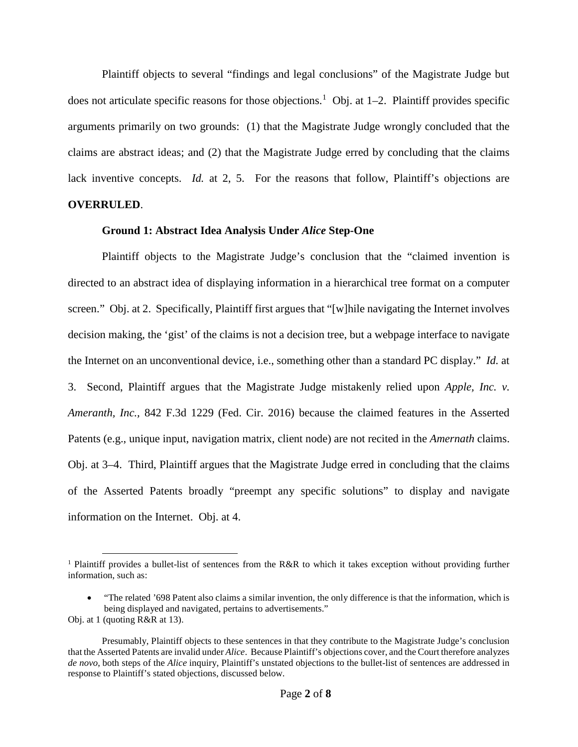Plaintiff objects to several "findings and legal conclusions" of the Magistrate Judge but does not articulate specific reasons for those objections.<sup>1</sup> Obj. at  $1-2$ . Plaintiff provides specific arguments primarily on two grounds: (1) that the Magistrate Judge wrongly concluded that the claims are abstract ideas; and (2) that the Magistrate Judge erred by concluding that the claims lack inventive concepts. *Id.* at 2, 5. For the reasons that follow, Plaintiff's objections are **OVERRULED**.

## **Ground 1: Abstract Idea Analysis Under** *Alice* **Step-One**

Plaintiff objects to the Magistrate Judge's conclusion that the "claimed invention is directed to an abstract idea of displaying information in a hierarchical tree format on a computer screen." Obj. at 2. Specifically, Plaintiff first argues that "[w]hile navigating the Internet involves decision making, the 'gist' of the claims is not a decision tree, but a webpage interface to navigate the Internet on an unconventional device, i.e., something other than a standard PC display." *Id.* at 3. Second, Plaintiff argues that the Magistrate Judge mistakenly relied upon *Apple, Inc. v. Ameranth, Inc.,* 842 F.3d 1229 (Fed. Cir. 2016) because the claimed features in the Asserted Patents (e.g., unique input, navigation matrix, client node) are not recited in the *Amernath* claims. Obj. at 3–4. Third, Plaintiff argues that the Magistrate Judge erred in concluding that the claims of the Asserted Patents broadly "preempt any specific solutions" to display and navigate information on the Internet. Obj. at 4.

 $\overline{a}$ 

<sup>&</sup>lt;sup>1</sup> Plaintiff provides a bullet-list of sentences from the R&R to which it takes exception without providing further information, such as:

<sup>•</sup> "The related '698 Patent also claims a similar invention, the only difference is that the information, which is being displayed and navigated, pertains to advertisements."

Obj. at 1 (quoting R&R at 13).

Presumably, Plaintiff objects to these sentences in that they contribute to the Magistrate Judge's conclusion that the Asserted Patents are invalid under *Alice*. Because Plaintiff's objections cover, and the Court therefore analyzes *de novo*, both steps of the *Alice* inquiry, Plaintiff's unstated objections to the bullet-list of sentences are addressed in response to Plaintiff's stated objections, discussed below.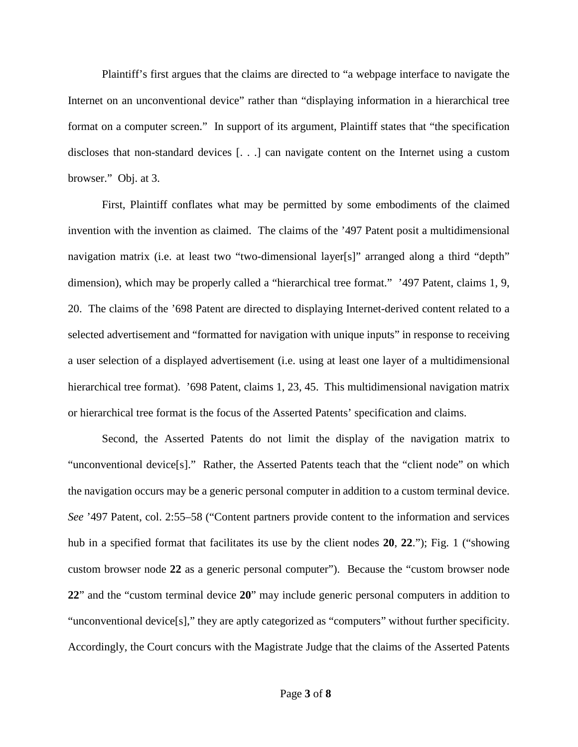Plaintiff's first argues that the claims are directed to "a webpage interface to navigate the Internet on an unconventional device" rather than "displaying information in a hierarchical tree format on a computer screen." In support of its argument, Plaintiff states that "the specification discloses that non-standard devices [. . .] can navigate content on the Internet using a custom browser." Obj. at 3.

First, Plaintiff conflates what may be permitted by some embodiments of the claimed invention with the invention as claimed. The claims of the '497 Patent posit a multidimensional navigation matrix (i.e. at least two "two-dimensional layer[s]" arranged along a third "depth" dimension), which may be properly called a "hierarchical tree format." '497 Patent, claims 1, 9, 20. The claims of the '698 Patent are directed to displaying Internet-derived content related to a selected advertisement and "formatted for navigation with unique inputs" in response to receiving a user selection of a displayed advertisement (i.e. using at least one layer of a multidimensional hierarchical tree format). '698 Patent, claims 1, 23, 45. This multidimensional navigation matrix or hierarchical tree format is the focus of the Asserted Patents' specification and claims.

Second, the Asserted Patents do not limit the display of the navigation matrix to "unconventional device[s]." Rather, the Asserted Patents teach that the "client node" on which the navigation occurs may be a generic personal computer in addition to a custom terminal device. *See* '497 Patent, col. 2:55–58 ("Content partners provide content to the information and services hub in a specified format that facilitates its use by the client nodes **20**, **22**."); Fig. 1 ("showing custom browser node **22** as a generic personal computer"). Because the "custom browser node **22**" and the "custom terminal device **20**" may include generic personal computers in addition to "unconventional device[s]," they are aptly categorized as "computers" without further specificity. Accordingly, the Court concurs with the Magistrate Judge that the claims of the Asserted Patents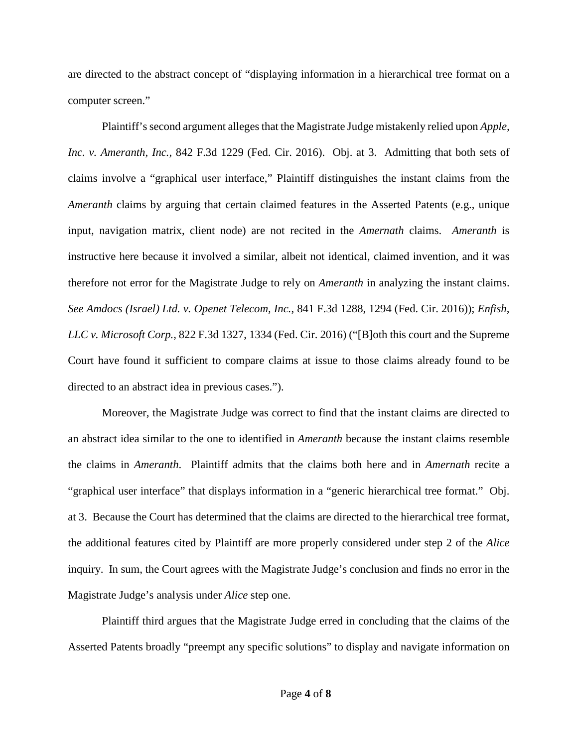are directed to the abstract concept of "displaying information in a hierarchical tree format on a computer screen."

Plaintiff's second argument alleges that the Magistrate Judge mistakenly relied upon *Apple, Inc. v. Ameranth, Inc.,* 842 F.3d 1229 (Fed. Cir. 2016). Obj. at 3. Admitting that both sets of claims involve a "graphical user interface," Plaintiff distinguishes the instant claims from the *Ameranth* claims by arguing that certain claimed features in the Asserted Patents (e.g., unique input, navigation matrix, client node) are not recited in the *Amernath* claims. *Ameranth* is instructive here because it involved a similar, albeit not identical, claimed invention, and it was therefore not error for the Magistrate Judge to rely on *Ameranth* in analyzing the instant claims. *See Amdocs (Israel) Ltd. v. Openet Telecom, Inc.*, 841 F.3d 1288, 1294 (Fed. Cir. 2016)); *Enfish, LLC v. Microsoft Corp.*, 822 F.3d 1327, 1334 (Fed. Cir. 2016) ("[B]oth this court and the Supreme Court have found it sufficient to compare claims at issue to those claims already found to be directed to an abstract idea in previous cases.").

Moreover, the Magistrate Judge was correct to find that the instant claims are directed to an abstract idea similar to the one to identified in *Ameranth* because the instant claims resemble the claims in *Ameranth*. Plaintiff admits that the claims both here and in *Amernath* recite a "graphical user interface" that displays information in a "generic hierarchical tree format." Obj. at 3. Because the Court has determined that the claims are directed to the hierarchical tree format, the additional features cited by Plaintiff are more properly considered under step 2 of the *Alice* inquiry. In sum, the Court agrees with the Magistrate Judge's conclusion and finds no error in the Magistrate Judge's analysis under *Alice* step one.

Plaintiff third argues that the Magistrate Judge erred in concluding that the claims of the Asserted Patents broadly "preempt any specific solutions" to display and navigate information on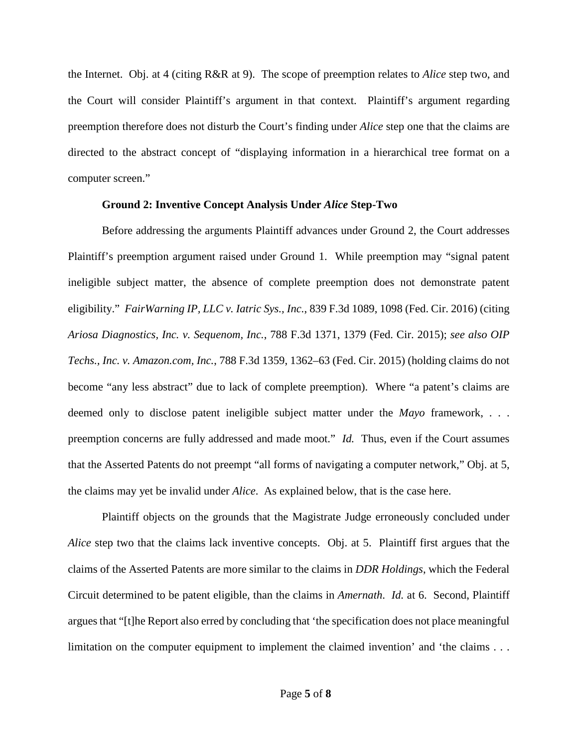the Internet. Obj. at 4 (citing R&R at 9). The scope of preemption relates to *Alice* step two, and the Court will consider Plaintiff's argument in that context. Plaintiff's argument regarding preemption therefore does not disturb the Court's finding under *Alice* step one that the claims are directed to the abstract concept of "displaying information in a hierarchical tree format on a computer screen."

### **Ground 2: Inventive Concept Analysis Under** *Alice* **Step-Two**

Before addressing the arguments Plaintiff advances under Ground 2, the Court addresses Plaintiff's preemption argument raised under Ground 1. While preemption may "signal patent ineligible subject matter, the absence of complete preemption does not demonstrate patent eligibility." *FairWarning IP, LLC v. Iatric Sys., Inc.*, 839 F.3d 1089, 1098 (Fed. Cir. 2016) (citing *Ariosa Diagnostics, Inc. v. Sequenom, Inc.*, 788 F.3d 1371, 1379 (Fed. Cir. 2015); *see also OIP Techs., Inc. v. Amazon.com, Inc.*, 788 F.3d 1359, 1362–63 (Fed. Cir. 2015) (holding claims do not become "any less abstract" due to lack of complete preemption). Where "a patent's claims are deemed only to disclose patent ineligible subject matter under the *Mayo* framework, . . . preemption concerns are fully addressed and made moot." *Id.* Thus, even if the Court assumes that the Asserted Patents do not preempt "all forms of navigating a computer network," Obj. at 5, the claims may yet be invalid under *Alice*. As explained below, that is the case here.

Plaintiff objects on the grounds that the Magistrate Judge erroneously concluded under *Alice* step two that the claims lack inventive concepts. Obj. at 5. Plaintiff first argues that the claims of the Asserted Patents are more similar to the claims in *DDR Holdings*, which the Federal Circuit determined to be patent eligible, than the claims in *Amernath*. *Id.* at 6. Second, Plaintiff argues that "[t]he Report also erred by concluding that 'the specification does not place meaningful limitation on the computer equipment to implement the claimed invention' and 'the claims . . .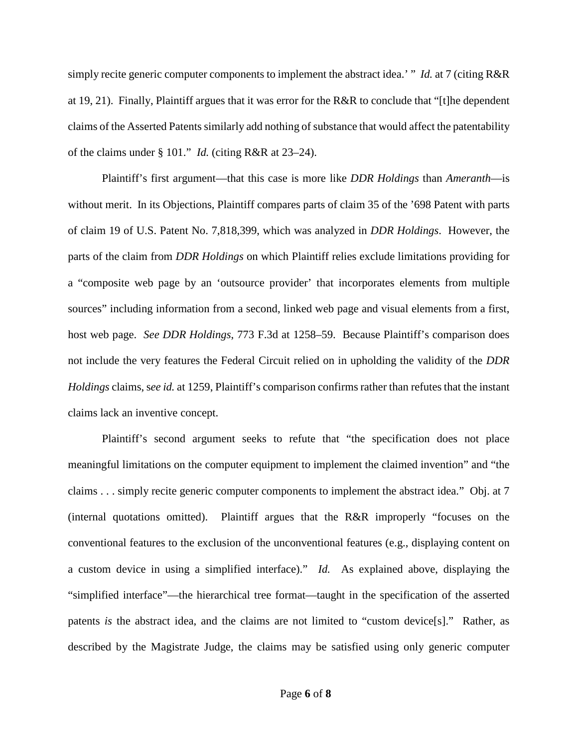simply recite generic computer components to implement the abstract idea.' " *Id.* at 7 (citing R&R at 19, 21). Finally, Plaintiff argues that it was error for the R&R to conclude that "[t]he dependent claims of the Asserted Patents similarly add nothing of substance that would affect the patentability of the claims under § 101." *Id.* (citing R&R at 23–24).

Plaintiff's first argument—that this case is more like *DDR Holdings* than *Ameranth*—is without merit. In its Objections, Plaintiff compares parts of claim 35 of the '698 Patent with parts of claim 19 of U.S. Patent No. 7,818,399, which was analyzed in *DDR Holdings*. However, the parts of the claim from *DDR Holdings* on which Plaintiff relies exclude limitations providing for a "composite web page by an 'outsource provider' that incorporates elements from multiple sources" including information from a second, linked web page and visual elements from a first, host web page. *See DDR Holdings*, 773 F.3d at 1258–59.Because Plaintiff's comparison does not include the very features the Federal Circuit relied on in upholding the validity of the *DDR Holdings* claims, s*ee id.* at 1259, Plaintiff's comparison confirms rather than refutes that the instant claims lack an inventive concept.

Plaintiff's second argument seeks to refute that "the specification does not place meaningful limitations on the computer equipment to implement the claimed invention" and "the claims . . . simply recite generic computer components to implement the abstract idea." Obj. at 7 (internal quotations omitted). Plaintiff argues that the R&R improperly "focuses on the conventional features to the exclusion of the unconventional features (e.g., displaying content on a custom device in using a simplified interface)." *Id.* As explained above, displaying the "simplified interface"—the hierarchical tree format—taught in the specification of the asserted patents *is* the abstract idea, and the claims are not limited to "custom device[s]." Rather, as described by the Magistrate Judge, the claims may be satisfied using only generic computer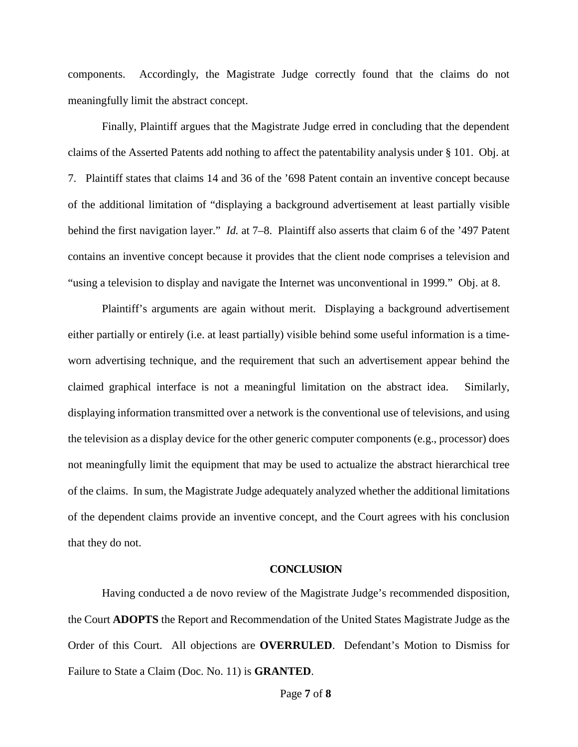components. Accordingly, the Magistrate Judge correctly found that the claims do not meaningfully limit the abstract concept.

Finally, Plaintiff argues that the Magistrate Judge erred in concluding that the dependent claims of the Asserted Patents add nothing to affect the patentability analysis under § 101. Obj. at 7. Plaintiff states that claims 14 and 36 of the '698 Patent contain an inventive concept because of the additional limitation of "displaying a background advertisement at least partially visible behind the first navigation layer." *Id.* at 7–8. Plaintiff also asserts that claim 6 of the '497 Patent contains an inventive concept because it provides that the client node comprises a television and "using a television to display and navigate the Internet was unconventional in 1999." Obj. at 8.

Plaintiff's arguments are again without merit. Displaying a background advertisement either partially or entirely (i.e. at least partially) visible behind some useful information is a timeworn advertising technique, and the requirement that such an advertisement appear behind the claimed graphical interface is not a meaningful limitation on the abstract idea. Similarly, displaying information transmitted over a network is the conventional use of televisions, and using the television as a display device for the other generic computer components (e.g., processor) does not meaningfully limit the equipment that may be used to actualize the abstract hierarchical tree of the claims. In sum, the Magistrate Judge adequately analyzed whether the additional limitations of the dependent claims provide an inventive concept, and the Court agrees with his conclusion that they do not.

### **CONCLUSION**

Having conducted a de novo review of the Magistrate Judge's recommended disposition, the Court **ADOPTS** the Report and Recommendation of the United States Magistrate Judge as the Order of this Court. All objections are **OVERRULED**. Defendant's Motion to Dismiss for Failure to State a Claim (Doc. No. 11) is **GRANTED**.